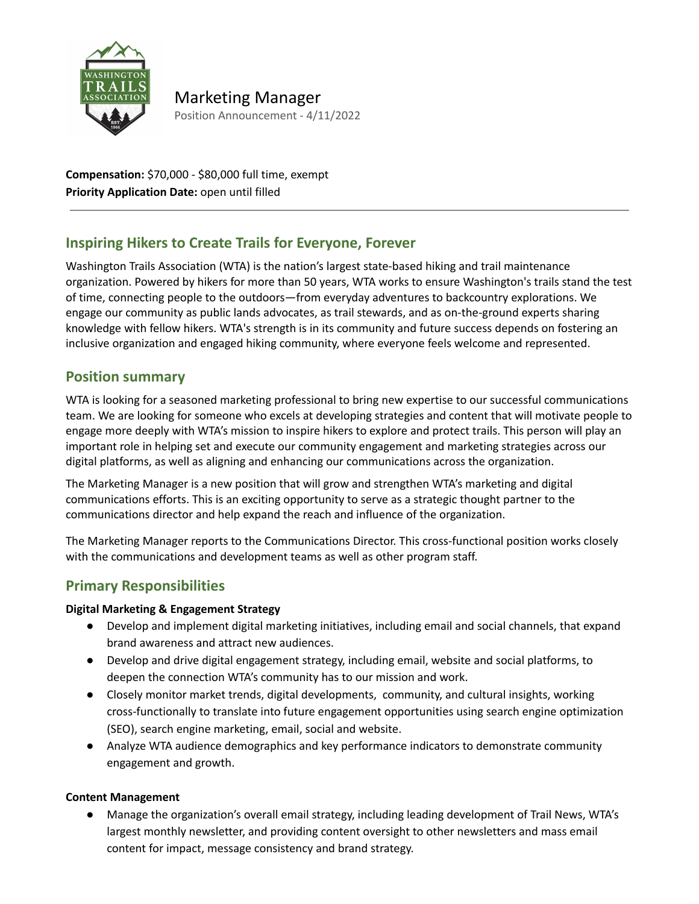

Marketing Manager Position Announcement - 4/11/2022

**Compensation:** \$70,000 - \$80,000 full time, exempt **Priority Application Date:** open until filled

# **Inspiring Hikers to Create Trails for Everyone, Forever**

Washington Trails Association (WTA) is the nation's largest state‐based hiking and trail maintenance organization. Powered by hikers for more than 50 years, WTA works to ensure Washington's trails stand the test of time, connecting people to the outdoors—from everyday adventures to backcountry explorations. We engage our community as public lands advocates, as trail stewards, and as on‐the‐ground experts sharing knowledge with fellow hikers. WTA's strength is in its community and future success depends on fostering an inclusive organization and engaged hiking community, where everyone feels welcome and represented.

## **Position summary**

WTA is looking for a seasoned marketing professional to bring new expertise to our successful communications team. We are looking for someone who excels at developing strategies and content that will motivate people to engage more deeply with WTA's mission to inspire hikers to explore and protect trails. This person will play an important role in helping set and execute our community engagement and marketing strategies across our digital platforms, as well as aligning and enhancing our communications across the organization.

The Marketing Manager is a new position that will grow and strengthen WTA's marketing and digital communications efforts. This is an exciting opportunity to serve as a strategic thought partner to the communications director and help expand the reach and influence of the organization.

The Marketing Manager reports to the Communications Director. This cross-functional position works closely with the communications and development teams as well as other program staff.

### **Primary Responsibilities**

#### **Digital Marketing & Engagement Strategy**

- Develop and implement digital marketing initiatives, including email and social channels, that expand brand awareness and attract new audiences.
- Develop and drive digital engagement strategy, including email, website and social platforms, to deepen the connection WTA's community has to our mission and work.
- Closely monitor market trends, digital developments, community, and cultural insights, working cross-functionally to translate into future engagement opportunities using search engine optimization (SEO), search engine marketing, email, social and website.
- Analyze WTA audience demographics and key performance indicators to demonstrate community engagement and growth.

#### **Content Management**

● Manage the organization's overall email strategy, including leading development of Trail News, WTA's largest monthly newsletter, and providing content oversight to other newsletters and mass email content for impact, message consistency and brand strategy.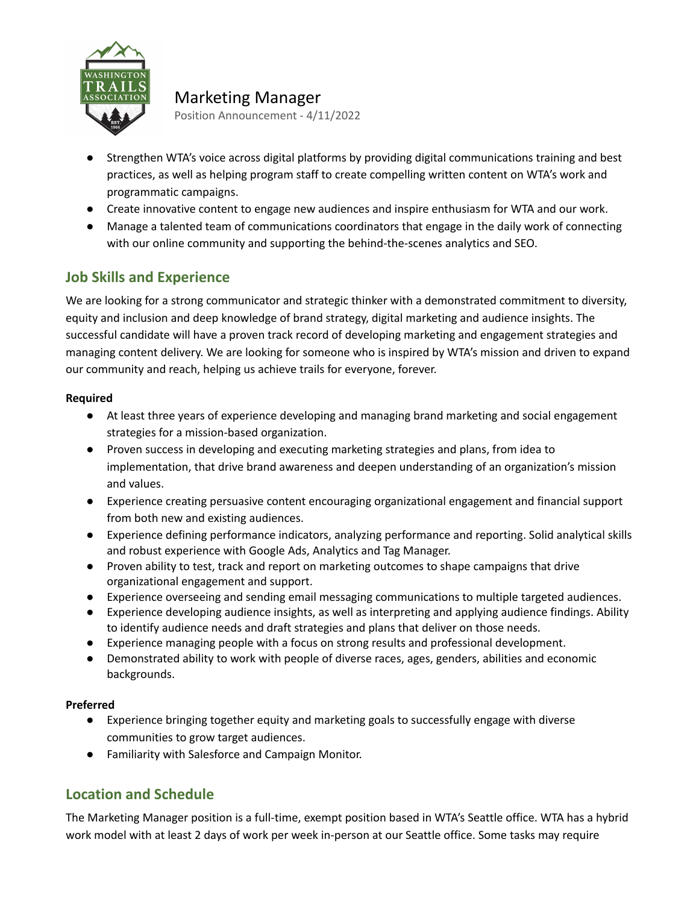

Marketing Manager Position Announcement - 4/11/2022

- Strengthen WTA's voice across digital platforms by providing digital communications training and best practices, as well as helping program staff to create compelling written content on WTA's work and programmatic campaigns.
- Create innovative content to engage new audiences and inspire enthusiasm for WTA and our work.
- Manage a talented team of communications coordinators that engage in the daily work of connecting with our online community and supporting the behind-the-scenes analytics and SEO.

# **Job Skills and Experience**

We are looking for a strong communicator and strategic thinker with a demonstrated commitment to diversity, equity and inclusion and deep knowledge of brand strategy, digital marketing and audience insights. The successful candidate will have a proven track record of developing marketing and engagement strategies and managing content delivery. We are looking for someone who is inspired by WTA's mission and driven to expand our community and reach, helping us achieve trails for everyone, forever.

#### **Required**

- At least three years of experience developing and managing brand marketing and social engagement strategies for a mission-based organization.
- Proven success in developing and executing marketing strategies and plans, from idea to implementation, that drive brand awareness and deepen understanding of an organization's mission and values.
- Experience creating persuasive content encouraging organizational engagement and financial support from both new and existing audiences.
- Experience defining performance indicators, analyzing performance and reporting. Solid analytical skills and robust experience with Google Ads, Analytics and Tag Manager.
- Proven ability to test, track and report on marketing outcomes to shape campaigns that drive organizational engagement and support.
- Experience overseeing and sending email messaging communications to multiple targeted audiences.
- Experience developing audience insights, as well as interpreting and applying audience findings. Ability to identify audience needs and draft strategies and plans that deliver on those needs.
- Experience managing people with a focus on strong results and professional development.
- Demonstrated ability to work with people of diverse races, ages, genders, abilities and economic backgrounds.

#### **Preferred**

- Experience bringing together equity and marketing goals to successfully engage with diverse communities to grow target audiences.
- Familiarity with Salesforce and Campaign Monitor.

# **Location and Schedule**

The Marketing Manager position is a full-time, exempt position based in WTA's Seattle office. WTA has a hybrid work model with at least 2 days of work per week in-person at our Seattle office. Some tasks may require